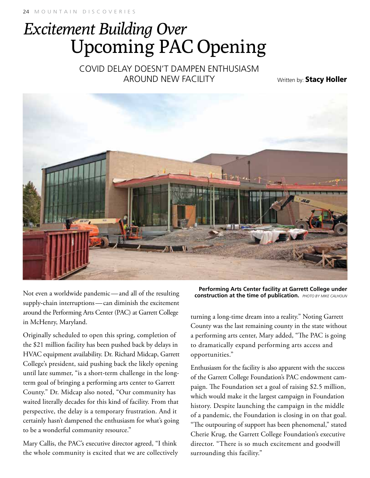## *Excitement Building Over* Upcoming PAC Opening

COVID DELAY DOESN'T DAMPEN ENTHUSIASM AROUND NEW FACILITY

Written by: Stacy Holler



Not even a worldwide pandemic — and all of the resulting supply-chain interruptions — can diminish the excitement around the Performing Arts Center (PAC) at Garrett College in McHenry, Maryland.

Originally scheduled to open this spring, completion of the \$21 million facility has been pushed back by delays in HVAC equipment availability. Dr. Richard Midcap, Garrett College's president, said pushing back the likely opening until late summer, "is a short-term challenge in the longterm goal of bringing a performing arts center to Garrett County." Dr. Midcap also noted, "Our community has waited literally decades for this kind of facility. From that perspective, the delay is a temporary frustration. And it certainly hasn't dampened the enthusiasm for what's going to be a wonderful community resource."

Mary Callis, the PAC's executive director agreed, "I think the whole community is excited that we are collectively

**Performing Arts Center facility at Garrett College under construction at the time of publication.** *Photo by Mike Calhoun*

turning a long-time dream into a reality." Noting Garrett County was the last remaining county in the state without a performing arts center, Mary added, "The PAC is going to dramatically expand performing arts access and opportunities."

Enthusiasm for the facility is also apparent with the success of the Garrett College Foundation's PAC endowment campaign. The Foundation set a goal of raising \$2.5 million, which would make it the largest campaign in Foundation history. Despite launching the campaign in the middle of a pandemic, the Foundation is closing in on that goal. "The outpouring of support has been phenomenal," stated Cherie Krug, the Garrett College Foundation's executive director. "There is so much excitement and goodwill surrounding this facility."